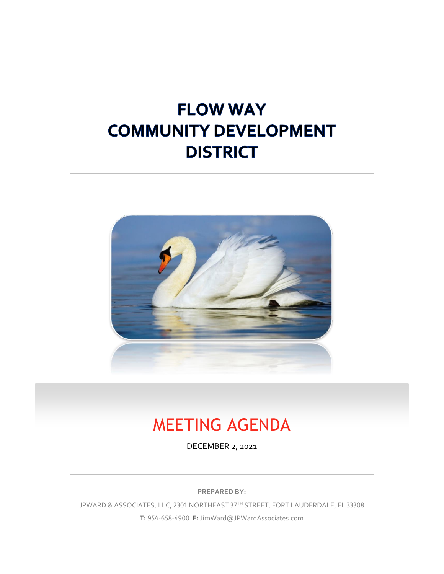# **FLOW WAY COMMUNITY DEVELOPMENT DISTRICT**



# MEETING AGENDA

DECEMBER 2, 2021

**PREPARED BY:**

JPWARD & ASSOCIATES, LLC, 2301 NORTHEAST 37TH STREET, FORT LAUDERDALE, FL 33308 **T:** 954-658-4900 **E:** JimWard@JPWardAssociates.com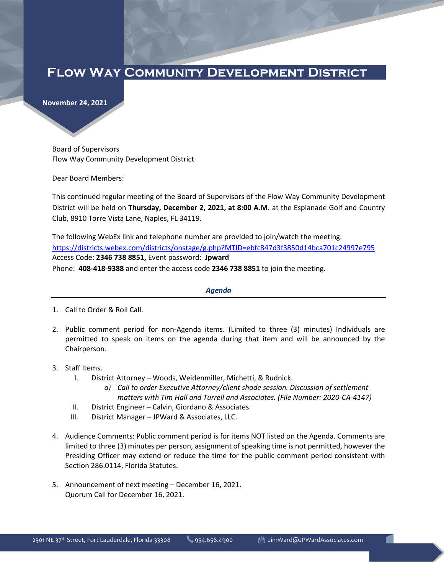## **Flow Way Community Development District**

**November 24, 2021**

Board of Supervisors Flow Way Community Development District

Dear Board Members:

This continued regular meeting of the Board of Supervisors of the Flow Way Community Development District will be held on **Thursday, December 2, 2021, at 8:00 A.M.** at the Esplanade Golf and Country Club, 8910 Torre Vista Lane, Naples, FL 34119.

The following WebEx link and telephone number are provided to join/watch the meeting. https://districts.webex.com/districts/onstage/g.php?MTID=ebfc847d3f3850d14bca701c24997e795 Access Code: **2346 738 8851,** Event password: **Jpward** Phone: **408-418-9388** and enter the access code **2346 738 8851** to join the meeting.

#### *Agenda*

- 1. Call to Order & Roll Call.
- 2. Public comment period for non-Agenda items. (Limited to three (3) minutes) Individuals are permitted to speak on items on the agenda during that item and will be announced by the Chairperson.
- 3. Staff Items.
	- I. District Attorney Woods, Weidenmiller, Michetti, & Rudnick.
		- *a) Call to order Executive Attorney/client shade session. Discussion of settlement matters with Tim Hall and Turrell and Associates. (File Number: 2020-CA-4147)*
	- II. District Engineer Calvin, Giordano & Associates.
	- III. District Manager JPWard & Associates, LLC.
- 4. Audience Comments: Public comment period is for items NOT listed on the Agenda. Comments are limited to three (3) minutes per person, assignment of speaking time is not permitted, however the Presiding Officer may extend or reduce the time for the public comment period consistent with Section 286.0114, Florida Statutes.
- 5. Announcement of next meeting December 16, 2021. Quorum Call for December 16, 2021.